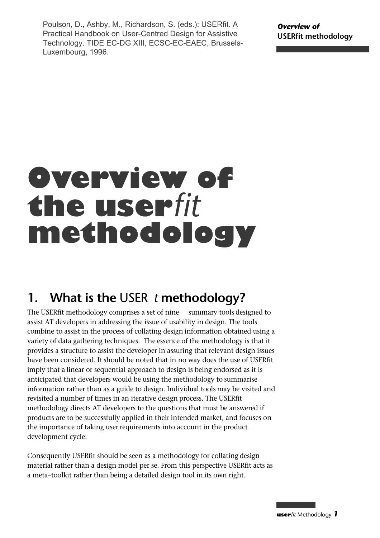Poulson, D., Ashby, M., Richardson, S. (eds.): USERfit. A Practical Handbook on User-Centred Design for Assistive Technology. TIDE EC-DG XIII, ECSC-EC-EAEC, Brussels-Luxembourg, 1996.

# **Overview of the user***fit* **methodology**

# **1. What is the** USER *t* **methodology?**

The USERfit methodology comprises a set of nine summary tools designed to assist AT developers in addressing the issue of usability in design. The tools combine to assist in the process of collating design information obtained using a variety of data gathering techniques. The essence of the methodology is that it provides a structure to assist the developer in assuring that relevant design issues have been considered. It should be noted that in no way does the use of USERfit imply that a linear or sequential approach to design is being endorsed as it is anticipated that developers would be using the methodology to summarise information rather than as a guide to design. Individual tools may be visited and revisited a number of times in an iterative design process. The USERfit methodology directs AT developers to the questions that must be answered if products are to be successfully applied in their intended market, and focuses on the importance of taking user requirements into account in the product development cycle.

Consequently USERfit should be seen as a methodology for collating design material rather than a design model per se. From this perspective USERfit acts as a meta–toolkit rather than being a detailed design tool in its own right.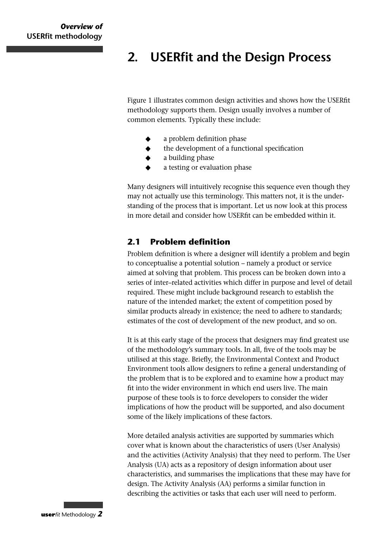# **2. USERfit and the Design Process**

Figure 1 illustrates common design activities and shows how the USERfit methodology supports them. Design usually involves a number of common elements. Typically these include:

- a problem definition phase
- the development of a functional specification
- a building phase
- a testing or evaluation phase

Many designers will intuitively recognise this sequence even though they may not actually use this terminology. This matters not, it is the understanding of the process that is important. Let us now look at this process in more detail and consider how USERfit can be embedded within it.

## **2.1 Problem definition**

Problem definition is where a designer will identify a problem and begin to conceptualise a potential solution – namely a product or service aimed at solving that problem. This process can be broken down into a series of inter–related activities which differ in purpose and level of detail required. These might include background research to establish the nature of the intended market; the extent of competition posed by similar products already in existence; the need to adhere to standards; estimates of the cost of development of the new product, and so on.

It is at this early stage of the process that designers may find greatest use of the methodology's summary tools. In all, five of the tools may be utilised at this stage. Briefly, the Environmental Context and Product Environment tools allow designers to refine a general understanding of the problem that is to be explored and to examine how a product may fit into the wider environment in which end users live. The main purpose of these tools is to force developers to consider the wider implications of how the product will be supported, and also document some of the likely implications of these factors.

More detailed analysis activities are supported by summaries which cover what is known about the characteristics of users (User Analysis) and the activities (Activity Analysis) that they need to perform. The User Analysis (UA) acts as a repository of design information about user characteristics, and summarises the implications that these may have for design. The Activity Analysis (AA) performs a similar function in describing the activities or tasks that each user will need to perform.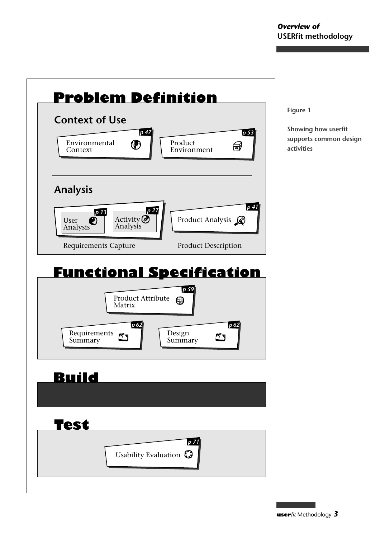### *Overview of* **USERfit methodology**



#### **Figure 1**

**Showing how userfit supports common design activities**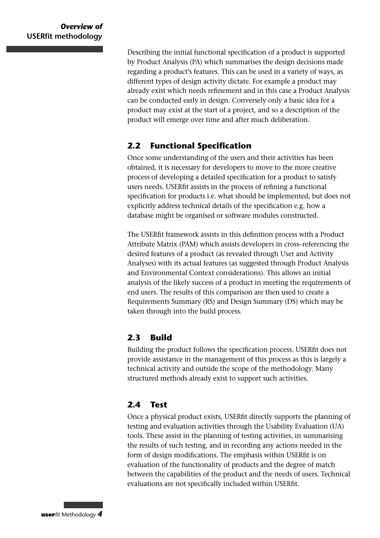Describing the initial functional specification of a product is supported by Product Analysis (PA) which summarises the design decisions made regarding a product's features. This can be used in a variety of ways, as different types of design activity dictate. For example a product may already exist which needs refinement and in this case a Product Analysis can be conducted early in design. Conversely only a basic idea for a product may exist at the start of a project, and so a description of the product will emerge over time and after much deliberation.

## **2.2 Functional Specification**

Once some understanding of the users and their activities has been obtained, it is necessary for developers to move to the more creative process of developing a detailed specification for a product to satisfy users needs. USERfit assists in the process of refining a functional specification for products i.e. what should be implemented, but does not explicitly address technical details of the specification e.g. how a database might be organised or software modules constructed.

The USERfit framework assists in this definition process with a Product Attribute Matrix (PAM) which assists developers in cross–referencing the desired features of a product (as revealed through User and Activity Analyses) with its actual features (as suggested through Product Analysis and Environmental Context considerations). This allows an initial analysis of the likely success of a product in meeting the requirements of end users. The results of this comparison are then used to create a Requirements Summary (RS) and Design Summary (DS) which may be taken through into the build process.

## **2.3 Build**

Building the product follows the specification process. USERfit does not provide assistance in the management of this process as this is largely a technical activity and outside the scope of the methodology. Many structured methods already exist to support such activities.

# **2.4 Test**

Once a physical product exists, USERfit directly supports the planning of testing and evaluation activities through the Usability Evaluation (UA) tools. These assist in the planning of testing activities, in summarising the results of such testing, and in recording any actions needed in the form of design modifications. The emphasis within USERfit is on evaluation of the functionality of products and the degree of match between the capabilities of the product and the needs of users. Technical evaluations are not specifically included within USERfit.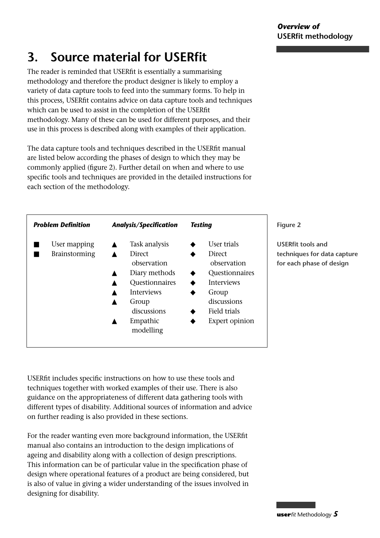# **3. Source material for USERfit**

The reader is reminded that USERfit is essentially a summarising methodology and therefore the product designer is likely to employ a variety of data capture tools to feed into the summary forms. To help in this process, USERfit contains advice on data capture tools and techniques which can be used to assist in the completion of the USERfit methodology. Many of these can be used for different purposes, and their use in this process is described along with examples of their application.

The data capture tools and techniques described in the USERfit manual are listed below according the phases of design to which they may be commonly applied (figure 2). Further detail on when and where to use specific tools and techniques are provided in the detailed instructions for each section of the methodology.

*Analysis/Specification*

*Testing*

*Problem Definition*

USERfit includes specific instructions on how to use these tools and techniques together with worked examples of their use. There is also guidance on the appropriateness of different data gathering tools with different types of disability. Additional sources of information and advice on further reading is also provided in these sections.

For the reader wanting even more background information, the USERfit manual also contains an introduction to the design implications of ageing and disability along with a collection of design prescriptions. This information can be of particular value in the specification phase of design where operational features of a product are being considered, but is also of value in giving a wider understanding of the issues involved in designing for disability.

## **Figure 2**

**USERfit tools and techniques for data capture for each phase of design**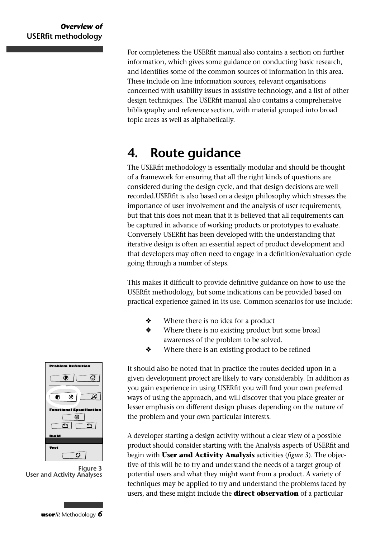For completeness the USERfit manual also contains a section on further information, which gives some guidance on conducting basic research, and identifies some of the common sources of information in this area. These include on line information sources, relevant organisations concerned with usability issues in assistive technology, and a list of other design techniques. The USERfit manual also contains a comprehensive bibliography and reference section, with material grouped into broad topic areas as well as alphabetically.

# **4. Route guidance**

The USERfit methodology is essentially modular and should be thought of a framework for ensuring that all the right kinds of questions are considered during the design cycle, and that design decisions are well recorded.USERfit is also based on a design philosophy which stresses the importance of user involvement and the analysis of user requirements, but that this does not mean that it is believed that all requirements can be captured in advance of working products or prototypes to evaluate. Conversely USERfit has been developed with the understanding that iterative design is often an essential aspect of product development and that developers may often need to engage in a definition/evaluation cycle going through a number of steps.

This makes it difficult to provide definitive guidance on how to use the USERfit methodology, but some indications can be provided based on practical experience gained in its use. Common scenarios for use include:

- ❖ Where there is no idea for a product
- ❖ Where there is no existing product but some broad awareness of the problem to be solved.
- ❖ Where there is an existing product to be refined

It should also be noted that in practice the routes decided upon in a given development project are likely to vary considerably. In addition as you gain experience in using USERfit you will find your own preferred ways of using the approach, and will discover that you place greater or lesser emphasis on different design phases depending on the nature of the problem and your own particular interests.

A developer starting a design activity without a clear view of a possible product should consider starting with the Analysis aspects of USERfit and begin with **User and Activity Analysis** activities (*figure 3*). The objective of this will be to try and understand the needs of a target group of potential users and what they might want from a product. A variety of techniques may be applied to try and understand the problems faced by users, and these might include the **direct observation** of a particular



**Figure 3 User and Activity Analyses**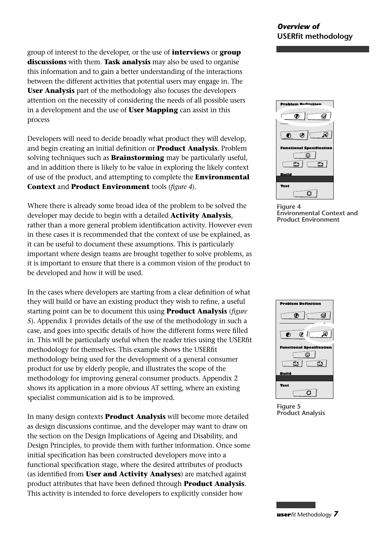group of interest to the developer, or the use of **interviews** or **group discussions** with them. **Task analysis** may also be used to organise this information and to gain a better understanding of the interactions between the different activities that potential users may engage in. The **User Analysis** part of the methodology also focuses the developers attention on the necessity of considering the needs of all possible users in a development and the use of **User Mapping** can assist in this process

Developers will need to decide broadly what product they will develop, and begin creating an initial definition or **Product Analysis**. Problem solving techniques such as **Brainstorming** may be particularly useful, and in addition there is likely to be value in exploring the likely context of use of the product, and attempting to complete the **Environmental Context** and **Product Environment** tools (*figure 4*).

Where there is already some broad idea of the problem to be solved the developer may decide to begin with a detailed **Activity Analysis**, rather than a more general problem identification activity. However even in these cases it is recommended that the context of use be explained, as it can be useful to document these assumptions. This is particularly important where design teams are brought together to solve problems, as it is important to ensure that there is a common vision of the product to be developed and how it will be used.

In the cases where developers are starting from a clear definition of what they will build or have an existing product they wish to refine, a useful starting point can be to document this using **Product Analysis** (*figure 5*). Appendix 1 provides details of the use of the methodology in such a case, and goes into specific details of how the different forms were filled in. This will be particularly useful when the reader tries using the USERfit methodology for themselves. This example shows the USERfit methodology being used for the development of a general consumer product for use by elderly people, and illustrates the scope of the methodology for improving general consumer products. Appendix 2 shows its application in a more obvious AT setting, where an existing specialist communication aid is to be improved.

In many design contexts **Product Analysis** will become more detailed as design discussions continue, and the developer may want to draw on the section on the Design Implications of Ageing and Disability, and Design Principles, to provide them with further information. Once some initial specification has been constructed developers move into a functional specification stage, where the desired attributes of products (as identified from **User and Activity Analyses**) are matched against product attributes that have been defined through **Product Analysis**. This activity is intended to force developers to explicitly consider how

### *Overview of* **USERfit methodology**



**Figure 4 Environmental Context and Product Environment** 



**Figure 5 Product Analysis**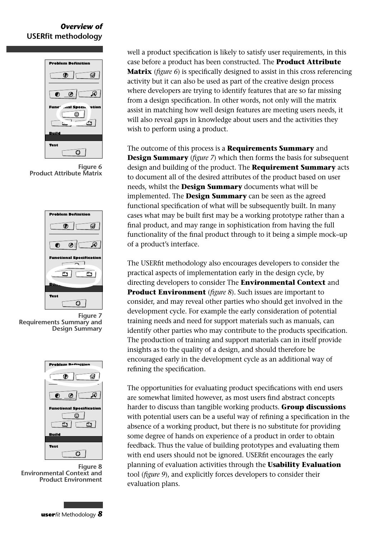## *Overview of* **USERfit methodology**



**Figure 6 Product Attribute Matrix**



**Figure 7 Requirements Summary and Design Summary** 



**Figure 8 Environmental Context and Product Environment** 

well a product specification is likely to satisfy user requirements, in this case before a product has been constructed. The **Product Attribute Matrix** (*figure 6*) is specifically designed to assist in this cross referencing activity but it can also be used as part of the creative design process where developers are trying to identify features that are so far missing from a design specification. In other words, not only will the matrix assist in matching how well design features are meeting users needs, it will also reveal gaps in knowledge about users and the activities they wish to perform using a product.

The outcome of this process is a **Requirements Summary** and **Design Summary** (*figure 7*) which then forms the basis for subsequent design and building of the product. The **Requirement Summary** acts to document all of the desired attributes of the product based on user needs, whilst the **Design Summary** documents what will be implemented. The **Design Summary** can be seen as the agreed functional specification of what will be subsequently built. In many cases what may be built first may be a working prototype rather than a final product, and may range in sophistication from having the full functionality of the final product through to it being a simple mock–up of a product's interface.

The USERfit methodology also encourages developers to consider the practical aspects of implementation early in the design cycle, by directing developers to consider The **Environmental Context** and **Product Environment** (*figure 8*). Such issues are important to consider, and may reveal other parties who should get involved in the development cycle. For example the early consideration of potential training needs and need for support materials such as manuals, can identify other parties who may contribute to the products specification. The production of training and support materials can in itself provide insights as to the quality of a design, and should therefore be encouraged early in the development cycle as an additional way of refining the specification.

The opportunities for evaluating product specifications with end users are somewhat limited however, as most users find abstract concepts harder to discuss than tangible working products. **Group discussions** with potential users can be a useful way of refining a specification in the absence of a working product, but there is no substitute for providing some degree of hands on experience of a product in order to obtain feedback. Thus the value of building prototypes and evaluating them with end users should not be ignored. USERfit encourages the early planning of evaluation activities through the **Usability Evaluation** tool (*figure 9*), and explicitly forces developers to consider their evaluation plans.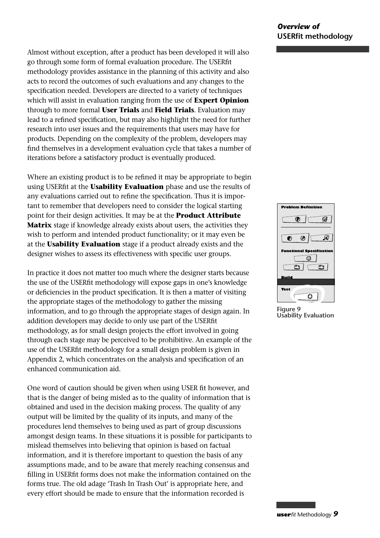Almost without exception, after a product has been developed it will also go through some form of formal evaluation procedure. The USERfit methodology provides assistance in the planning of this activity and also acts to record the outcomes of such evaluations and any changes to the specification needed. Developers are directed to a variety of techniques which will assist in evaluation ranging from the use of **Expert Opinion** through to more formal **User Trials** and **Field Trials**. Evaluation may lead to a refined specification, but may also highlight the need for further research into user issues and the requirements that users may have for products. Depending on the complexity of the problem, developers may find themselves in a development evaluation cycle that takes a number of iterations before a satisfactory product is eventually produced.

Where an existing product is to be refined it may be appropriate to begin using USERfit at the **Usability Evaluation** phase and use the results of any evaluations carried out to refine the specification. Thus it is important to remember that developers need to consider the logical starting point for their design activities. It may be at the **Product Attribute Matrix** stage if knowledge already exists about users, the activities they wish to perform and intended product functionality; or it may even be at the **Usability Evaluation** stage if a product already exists and the designer wishes to assess its effectiveness with specific user groups.

In practice it does not matter too much where the designer starts because the use of the USERfit methodology will expose gaps in one's knowledge or deficiencies in the product specification. It is then a matter of visiting the appropriate stages of the methodology to gather the missing information, and to go through the appropriate stages of design again. In addition developers may decide to only use part of the USERfit methodology, as for small design projects the effort involved in going through each stage may be perceived to be prohibitive. An example of the use of the USERfit methodology for a small design problem is given in Appendix 2, which concentrates on the analysis and specification of an enhanced communication aid.

One word of caution should be given when using USER fit however, and that is the danger of being misled as to the quality of information that is obtained and used in the decision making process. The quality of any output will be limited by the quality of its inputs, and many of the procedures lend themselves to being used as part of group discussions amongst design teams. In these situations it is possible for participants to mislead themselves into believing that opinion is based on factual information, and it is therefore important to question the basis of any assumptions made, and to be aware that merely reaching consensus and filling in USERfit forms does not make the information contained on the forms true. The old adage 'Trash In Trash Out' is appropriate here, and every effort should be made to ensure that the information recorded is

#### *Overview of* **USERfit methodology**



**Figure 9 Usability Evaluation**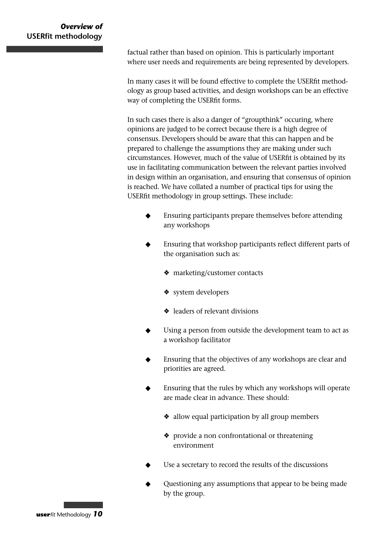## *Overview of* **USERfit methodology**

factual rather than based on opinion. This is particularly important where user needs and requirements are being represented by developers.

In many cases it will be found effective to complete the USERfit methodology as group based activities, and design workshops can be an effective way of completing the USERfit forms.

In such cases there is also a danger of "groupthink" occuring, where opinions are judged to be correct because there is a high degree of consensus. Developers should be aware that this can happen and be prepared to challenge the assumptions they are making under such circumstances. However, much of the value of USERfit is obtained by its use in facilitating communication between the relevant parties involved in design within an organisation, and ensuring that consensus of opinion is reached. We have collated a number of practical tips for using the USERfit methodology in group settings. These include:

- Ensuring participants prepare themselves before attending any workshops
- Ensuring that workshop participants reflect different parts of the organisation such as:
	- ❖ marketing/customer contacts
	- ❖ system developers
	- ❖ leaders of relevant divisions
- Using a person from outside the development team to act as a workshop facilitator
- Ensuring that the objectives of any workshops are clear and priorities are agreed.
- Ensuring that the rules by which any workshops will operate are made clear in advance. These should:
	- ❖ allow equal participation by all group members
	- ❖ provide a non confrontational or threatening environment
- Use a secretary to record the results of the discussions
- Questioning any assumptions that appear to be being made by the group.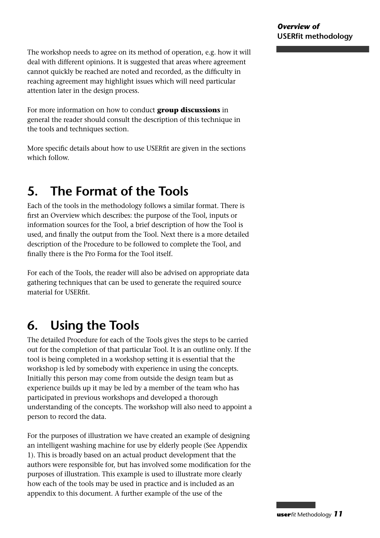For more information on how to conduct **group discussions** in general the reader should consult the description of this technique in the tools and techniques section.

More specific details about how to use USERfit are given in the sections which follow.

# **5. The Format of the Tools**

Each of the tools in the methodology follows a similar format. There is first an Overview which describes: the purpose of the Tool, inputs or information sources for the Tool, a brief description of how the Tool is used, and finally the output from the Tool. Next there is a more detailed description of the Procedure to be followed to complete the Tool, and finally there is the Pro Forma for the Tool itself.

For each of the Tools, the reader will also be advised on appropriate data gathering techniques that can be used to generate the required source material for USERfit.

# **6. Using the Tools**

The detailed Procedure for each of the Tools gives the steps to be carried out for the completion of that particular Tool. It is an outline only. If the tool is being completed in a workshop setting it is essential that the workshop is led by somebody with experience in using the concepts. Initially this person may come from outside the design team but as experience builds up it may be led by a member of the team who has participated in previous workshops and developed a thorough understanding of the concepts. The workshop will also need to appoint a person to record the data.

For the purposes of illustration we have created an example of designing an intelligent washing machine for use by elderly people (See Appendix 1). This is broadly based on an actual product development that the authors were responsible for, but has involved some modification for the purposes of illustration. This example is used to illustrate more clearly how each of the tools may be used in practice and is included as an appendix to this document. A further example of the use of the